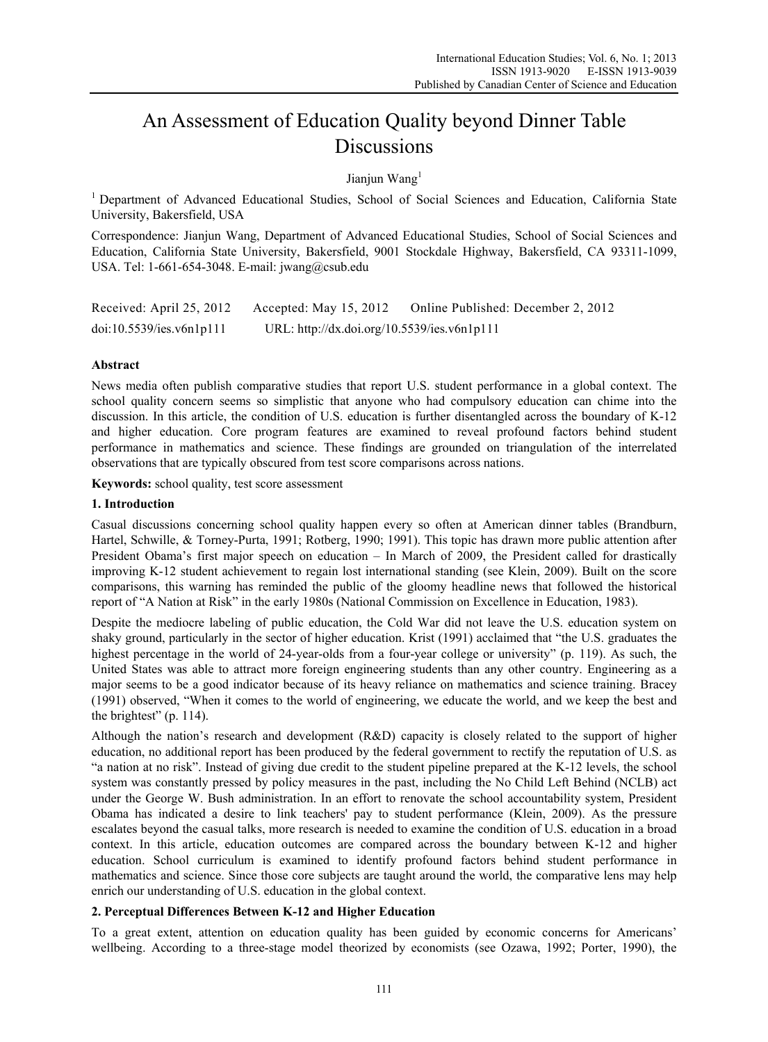# An Assessment of Education Quality beyond Dinner Table **Discussions**

Jianjun Wang<sup>1</sup>

1 Department of Advanced Educational Studies, School of Social Sciences and Education, California State University, Bakersfield, USA

Correspondence: Jianjun Wang, Department of Advanced Educational Studies, School of Social Sciences and Education, California State University, Bakersfield, 9001 Stockdale Highway, Bakersfield, CA 93311-1099, USA. Tel: 1-661-654-3048. E-mail: jwang@csub.edu

Received: April 25, 2012 Accepted: May 15, 2012 Online Published: December 2, 2012 doi:10.5539/ies.v6n1p111 URL: http://dx.doi.org/10.5539/ies.v6n1p111

### **Abstract**

News media often publish comparative studies that report U.S. student performance in a global context. The school quality concern seems so simplistic that anyone who had compulsory education can chime into the discussion. In this article, the condition of U.S. education is further disentangled across the boundary of K-12 and higher education. Core program features are examined to reveal profound factors behind student performance in mathematics and science. These findings are grounded on triangulation of the interrelated observations that are typically obscured from test score comparisons across nations.

**Keywords:** school quality, test score assessment

### **1. Introduction**

Casual discussions concerning school quality happen every so often at American dinner tables (Brandburn, Hartel, Schwille, & Torney-Purta, 1991; Rotberg, 1990; 1991). This topic has drawn more public attention after President Obama's first major speech on education – In March of 2009, the President called for drastically improving K-12 student achievement to regain lost international standing (see Klein, 2009). Built on the score comparisons, this warning has reminded the public of the gloomy headline news that followed the historical report of "A Nation at Risk" in the early 1980s (National Commission on Excellence in Education, 1983).

Despite the mediocre labeling of public education, the Cold War did not leave the U.S. education system on shaky ground, particularly in the sector of higher education. Krist (1991) acclaimed that "the U.S. graduates the highest percentage in the world of 24-year-olds from a four-year college or university" (p. 119). As such, the United States was able to attract more foreign engineering students than any other country. Engineering as a major seems to be a good indicator because of its heavy reliance on mathematics and science training. Bracey (1991) observed, "When it comes to the world of engineering, we educate the world, and we keep the best and the brightest" (p. 114).

Although the nation's research and development (R&D) capacity is closely related to the support of higher education, no additional report has been produced by the federal government to rectify the reputation of U.S. as "a nation at no risk". Instead of giving due credit to the student pipeline prepared at the K-12 levels, the school system was constantly pressed by policy measures in the past, including the No Child Left Behind (NCLB) act under the George W. Bush administration. In an effort to renovate the school accountability system, President Obama has indicated a desire to link teachers' pay to student performance (Klein, 2009). As the pressure escalates beyond the casual talks, more research is needed to examine the condition of U.S. education in a broad context. In this article, education outcomes are compared across the boundary between K-12 and higher education. School curriculum is examined to identify profound factors behind student performance in mathematics and science. Since those core subjects are taught around the world, the comparative lens may help enrich our understanding of U.S. education in the global context.

## **2. Perceptual Differences Between K-12 and Higher Education**

To a great extent, attention on education quality has been guided by economic concerns for Americans' wellbeing. According to a three-stage model theorized by economists (see Ozawa, 1992; Porter, 1990), the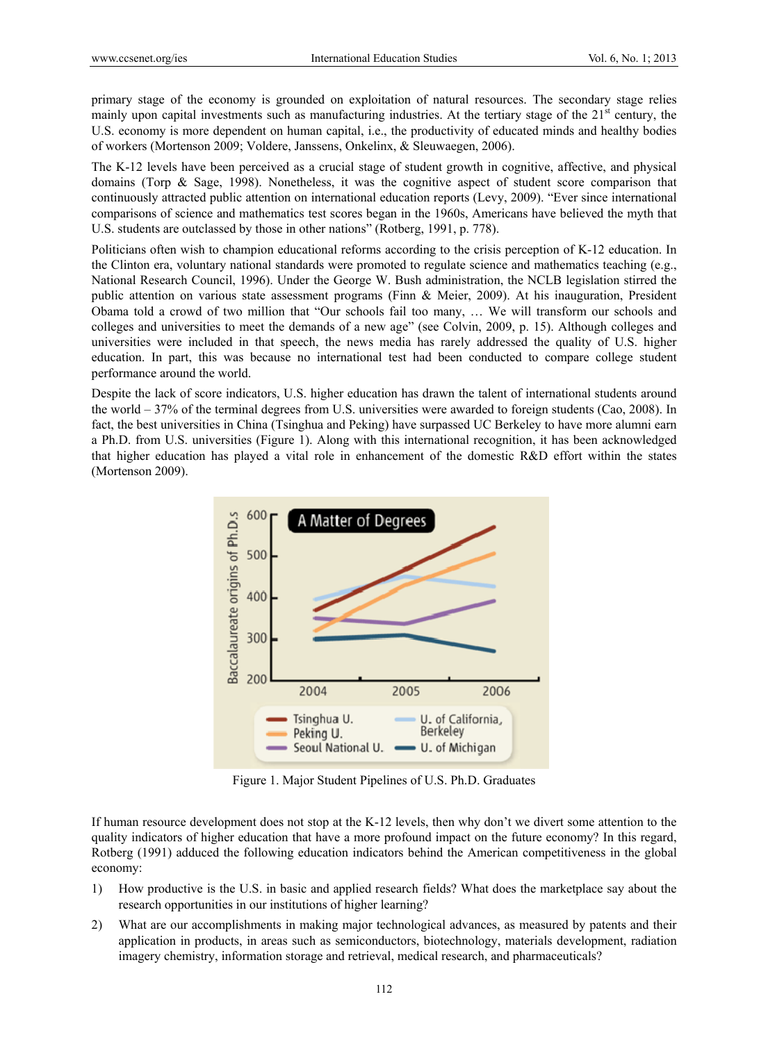primary stage of the economy is grounded on exploitation of natural resources. The secondary stage relies mainly upon capital investments such as manufacturing industries. At the tertiary stage of the  $21<sup>st</sup>$  century, the U.S. economy is more dependent on human capital, i.e., the productivity of educated minds and healthy bodies of workers (Mortenson 2009; Voldere, Janssens, Onkelinx, & Sleuwaegen, 2006).

The K-12 levels have been perceived as a crucial stage of student growth in cognitive, affective, and physical domains (Torp & Sage, 1998). Nonetheless, it was the cognitive aspect of student score comparison that continuously attracted public attention on international education reports (Levy, 2009). "Ever since international comparisons of science and mathematics test scores began in the 1960s, Americans have believed the myth that U.S. students are outclassed by those in other nations" (Rotberg, 1991, p. 778).

Politicians often wish to champion educational reforms according to the crisis perception of K-12 education. In the Clinton era, voluntary national standards were promoted to regulate science and mathematics teaching (e.g., National Research Council, 1996). Under the George W. Bush administration, the NCLB legislation stirred the public attention on various state assessment programs (Finn & Meier, 2009). At his inauguration, President Obama told a crowd of two million that "Our schools fail too many, … We will transform our schools and colleges and universities to meet the demands of a new age" (see Colvin, 2009, p. 15). Although colleges and universities were included in that speech, the news media has rarely addressed the quality of U.S. higher education. In part, this was because no international test had been conducted to compare college student performance around the world.

Despite the lack of score indicators, U.S. higher education has drawn the talent of international students around the world – 37% of the terminal degrees from U.S. universities were awarded to foreign students (Cao, 2008). In fact, the best universities in China (Tsinghua and Peking) have surpassed UC Berkeley to have more alumni earn a Ph.D. from U.S. universities (Figure 1). Along with this international recognition, it has been acknowledged that higher education has played a vital role in enhancement of the domestic R&D effort within the states (Mortenson 2009).



Figure 1. Major Student Pipelines of U.S. Ph.D. Graduates

If human resource development does not stop at the K-12 levels, then why don't we divert some attention to the quality indicators of higher education that have a more profound impact on the future economy? In this regard, Rotberg (1991) adduced the following education indicators behind the American competitiveness in the global economy:

- 1) How productive is the U.S. in basic and applied research fields? What does the marketplace say about the research opportunities in our institutions of higher learning?
- 2) What are our accomplishments in making major technological advances, as measured by patents and their application in products, in areas such as semiconductors, biotechnology, materials development, radiation imagery chemistry, information storage and retrieval, medical research, and pharmaceuticals?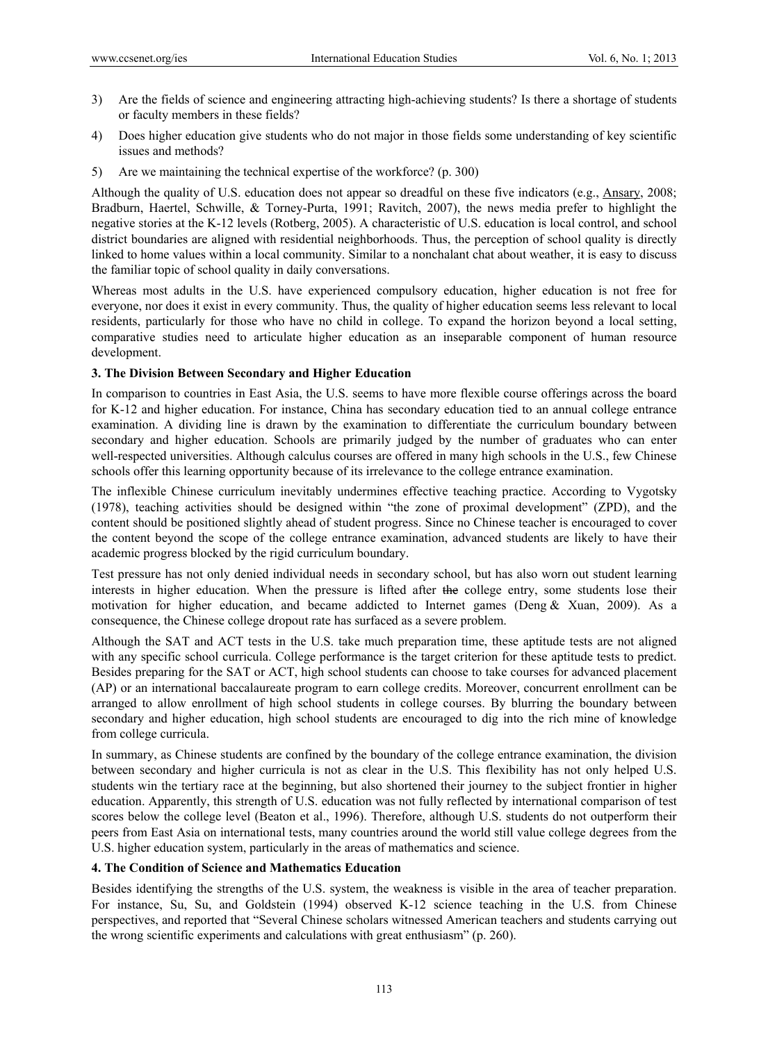- 3) Are the fields of science and engineering attracting high-achieving students? Is there a shortage of students or faculty members in these fields?
- 4) Does higher education give students who do not major in those fields some understanding of key scientific issues and methods?
- 5) Are we maintaining the technical expertise of the workforce? (p. 300)

Although the quality of U.S. education does not appear so dreadful on these five indicators (e.g., Ansary, 2008; Bradburn, Haertel, Schwille, & Torney-Purta, 1991; Ravitch, 2007), the news media prefer to highlight the negative stories at the K-12 levels (Rotberg, 2005). A characteristic of U.S. education is local control, and school district boundaries are aligned with residential neighborhoods. Thus, the perception of school quality is directly linked to home values within a local community. Similar to a nonchalant chat about weather, it is easy to discuss the familiar topic of school quality in daily conversations.

Whereas most adults in the U.S. have experienced compulsory education, higher education is not free for everyone, nor does it exist in every community. Thus, the quality of higher education seems less relevant to local residents, particularly for those who have no child in college. To expand the horizon beyond a local setting, comparative studies need to articulate higher education as an inseparable component of human resource development.

### **3. The Division Between Secondary and Higher Education**

In comparison to countries in East Asia, the U.S. seems to have more flexible course offerings across the board for K-12 and higher education. For instance, China has secondary education tied to an annual college entrance examination. A dividing line is drawn by the examination to differentiate the curriculum boundary between secondary and higher education. Schools are primarily judged by the number of graduates who can enter well-respected universities. Although calculus courses are offered in many high schools in the U.S., few Chinese schools offer this learning opportunity because of its irrelevance to the college entrance examination.

The inflexible Chinese curriculum inevitably undermines effective teaching practice. According to Vygotsky (1978), teaching activities should be designed within "the zone of proximal development" (ZPD), and the content should be positioned slightly ahead of student progress. Since no Chinese teacher is encouraged to cover the content beyond the scope of the college entrance examination, advanced students are likely to have their academic progress blocked by the rigid curriculum boundary.

Test pressure has not only denied individual needs in secondary school, but has also worn out student learning interests in higher education. When the pressure is lifted after the college entry, some students lose their motivation for higher education, and became addicted to Internet games (Deng & Xuan, 2009). As a consequence, the Chinese college dropout rate has surfaced as a severe problem.

Although the SAT and ACT tests in the U.S. take much preparation time, these aptitude tests are not aligned with any specific school curricula. College performance is the target criterion for these aptitude tests to predict. Besides preparing for the SAT or ACT, high school students can choose to take courses for advanced placement (AP) or an international baccalaureate program to earn college credits. Moreover, concurrent enrollment can be arranged to allow enrollment of high school students in college courses. By blurring the boundary between secondary and higher education, high school students are encouraged to dig into the rich mine of knowledge from college curricula.

In summary, as Chinese students are confined by the boundary of the college entrance examination, the division between secondary and higher curricula is not as clear in the U.S. This flexibility has not only helped U.S. students win the tertiary race at the beginning, but also shortened their journey to the subject frontier in higher education. Apparently, this strength of U.S. education was not fully reflected by international comparison of test scores below the college level (Beaton et al., 1996). Therefore, although U.S. students do not outperform their peers from East Asia on international tests, many countries around the world still value college degrees from the U.S. higher education system, particularly in the areas of mathematics and science.

#### **4. The Condition of Science and Mathematics Education**

Besides identifying the strengths of the U.S. system, the weakness is visible in the area of teacher preparation. For instance, Su, Su, and Goldstein (1994) observed K-12 science teaching in the U.S. from Chinese perspectives, and reported that "Several Chinese scholars witnessed American teachers and students carrying out the wrong scientific experiments and calculations with great enthusiasm" (p. 260).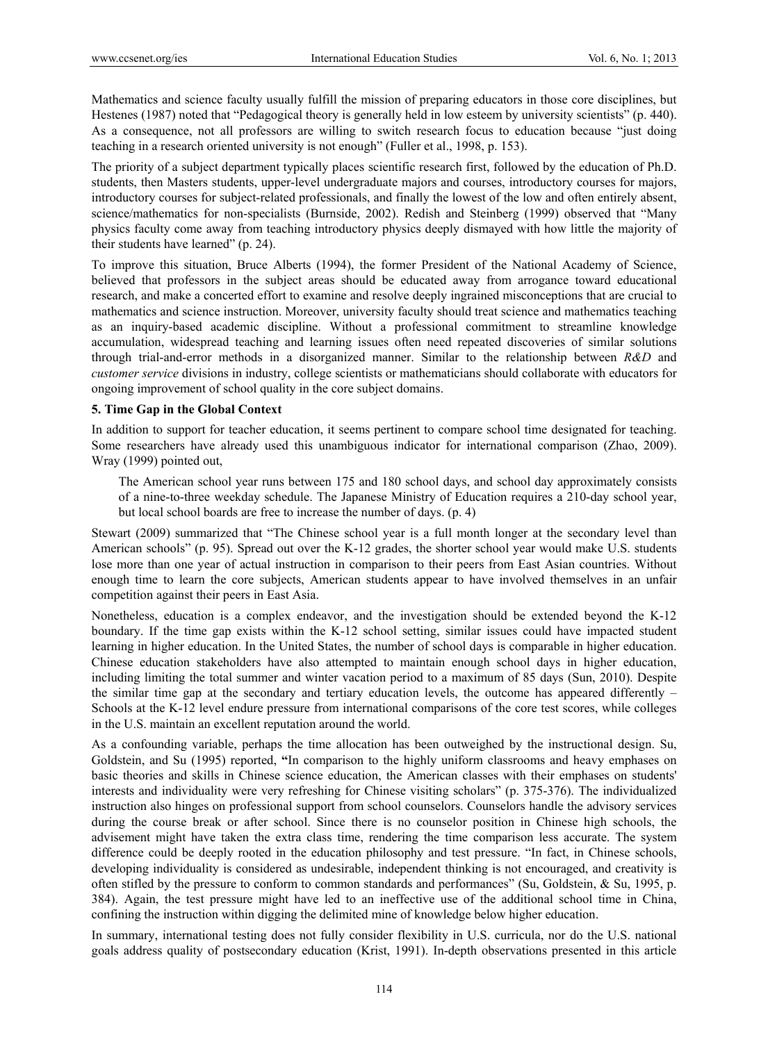Mathematics and science faculty usually fulfill the mission of preparing educators in those core disciplines, but Hestenes (1987) noted that "Pedagogical theory is generally held in low esteem by university scientists" (p. 440). As a consequence, not all professors are willing to switch research focus to education because "just doing teaching in a research oriented university is not enough" (Fuller et al., 1998, p. 153).

The priority of a subject department typically places scientific research first, followed by the education of Ph.D. students, then Masters students, upper-level undergraduate majors and courses, introductory courses for majors, introductory courses for subject-related professionals, and finally the lowest of the low and often entirely absent, science/mathematics for non-specialists (Burnside, 2002). Redish and Steinberg (1999) observed that "Many physics faculty come away from teaching introductory physics deeply dismayed with how little the majority of their students have learned" (p. 24).

To improve this situation, Bruce Alberts (1994), the former President of the National Academy of Science, believed that professors in the subject areas should be educated away from arrogance toward educational research, and make a concerted effort to examine and resolve deeply ingrained misconceptions that are crucial to mathematics and science instruction. Moreover, university faculty should treat science and mathematics teaching as an inquiry-based academic discipline. Without a professional commitment to streamline knowledge accumulation, widespread teaching and learning issues often need repeated discoveries of similar solutions through trial-and-error methods in a disorganized manner. Similar to the relationship between *R&D* and *customer service* divisions in industry, college scientists or mathematicians should collaborate with educators for ongoing improvement of school quality in the core subject domains.

#### **5. Time Gap in the Global Context**

In addition to support for teacher education, it seems pertinent to compare school time designated for teaching. Some researchers have already used this unambiguous indicator for international comparison (Zhao, 2009). Wray (1999) pointed out,

The American school year runs between 175 and 180 school days, and school day approximately consists of a nine-to-three weekday schedule. The Japanese Ministry of Education requires a 210-day school year, but local school boards are free to increase the number of days. (p. 4)

Stewart (2009) summarized that "The Chinese school year is a full month longer at the secondary level than American schools" (p. 95). Spread out over the K-12 grades, the shorter school year would make U.S. students lose more than one year of actual instruction in comparison to their peers from East Asian countries. Without enough time to learn the core subjects, American students appear to have involved themselves in an unfair competition against their peers in East Asia.

Nonetheless, education is a complex endeavor, and the investigation should be extended beyond the K-12 boundary. If the time gap exists within the K-12 school setting, similar issues could have impacted student learning in higher education. In the United States, the number of school days is comparable in higher education. Chinese education stakeholders have also attempted to maintain enough school days in higher education, including limiting the total summer and winter vacation period to a maximum of 85 days (Sun, 2010). Despite the similar time gap at the secondary and tertiary education levels, the outcome has appeared differently – Schools at the K-12 level endure pressure from international comparisons of the core test scores, while colleges in the U.S. maintain an excellent reputation around the world.

As a confounding variable, perhaps the time allocation has been outweighed by the instructional design. Su, Goldstein, and Su (1995) reported, **"**In comparison to the highly uniform classrooms and heavy emphases on basic theories and skills in Chinese science education, the American classes with their emphases on students' interests and individuality were very refreshing for Chinese visiting scholars" (p. 375-376). The individualized instruction also hinges on professional support from school counselors. Counselors handle the advisory services during the course break or after school. Since there is no counselor position in Chinese high schools, the advisement might have taken the extra class time, rendering the time comparison less accurate. The system difference could be deeply rooted in the education philosophy and test pressure. "In fact, in Chinese schools, developing individuality is considered as undesirable, independent thinking is not encouraged, and creativity is often stifled by the pressure to conform to common standards and performances" (Su, Goldstein, & Su, 1995, p. 384). Again, the test pressure might have led to an ineffective use of the additional school time in China, confining the instruction within digging the delimited mine of knowledge below higher education.

In summary, international testing does not fully consider flexibility in U.S. curricula, nor do the U.S. national goals address quality of postsecondary education (Krist, 1991). In-depth observations presented in this article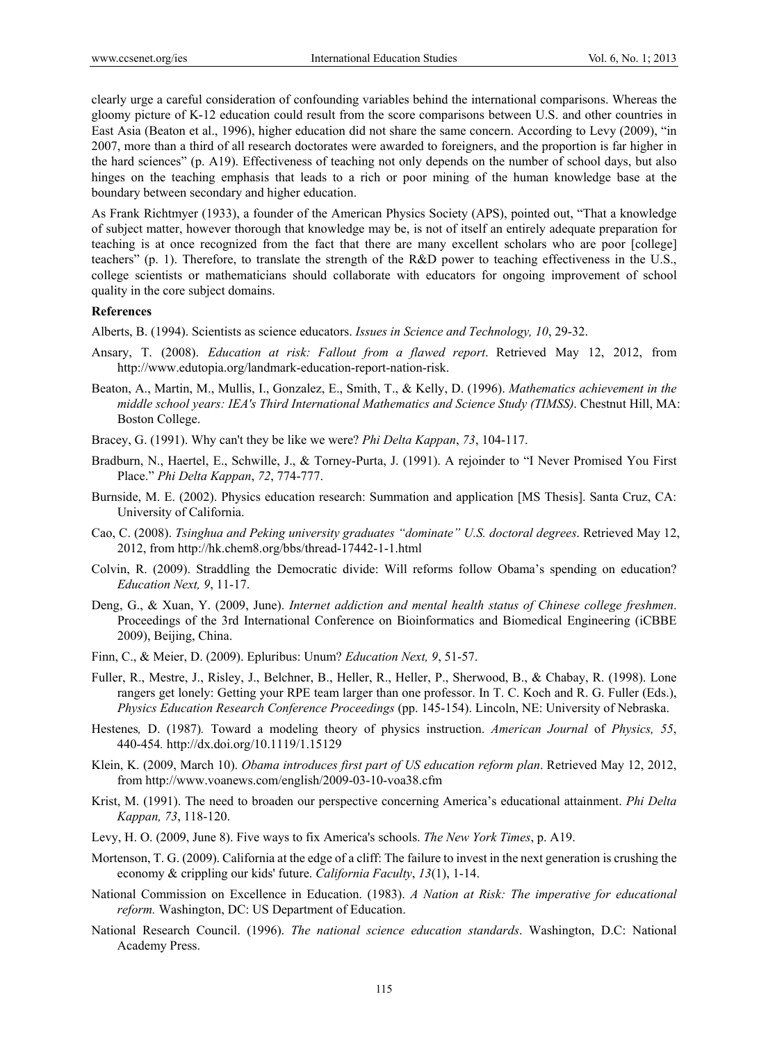clearly urge a careful consideration of confounding variables behind the international comparisons. Whereas the gloomy picture of K-12 education could result from the score comparisons between U.S. and other countries in East Asia (Beaton et al., 1996), higher education did not share the same concern. According to Levy (2009), "in 2007, more than a third of all research doctorates were awarded to foreigners, and the proportion is far higher in the hard sciences" (p. A19). Effectiveness of teaching not only depends on the number of school days, but also hinges on the teaching emphasis that leads to a rich or poor mining of the human knowledge base at the boundary between secondary and higher education.

As Frank Richtmyer (1933), a founder of the American Physics Society (APS), pointed out, "That a knowledge of subject matter, however thorough that knowledge may be, is not of itself an entirely adequate preparation for teaching is at once recognized from the fact that there are many excellent scholars who are poor [college] teachers" (p. 1). Therefore, to translate the strength of the R&D power to teaching effectiveness in the U.S., college scientists or mathematicians should collaborate with educators for ongoing improvement of school quality in the core subject domains.

#### **References**

Alberts, B. (1994). Scientists as science educators. *Issues in Science and Technology, 10*, 29-32.

- Ansary, T. (2008). *Education at risk: Fallout from a flawed report*. Retrieved May 12, 2012, from http://www.edutopia.org/landmark-education-report-nation-risk.
- Beaton, A., Martin, M., Mullis, I., Gonzalez, E., Smith, T., & Kelly, D. (1996). *Mathematics achievement in the middle school years: IEA's Third International Mathematics and Science Study (TIMSS)*. Chestnut Hill, MA: Boston College.
- Bracey, G. (1991). Why can't they be like we were? *Phi Delta Kappan*, *73*, 104-117.
- Bradburn, N., Haertel, E., Schwille, J., & Torney-Purta, J. (1991). A rejoinder to "I Never Promised You First Place." *Phi Delta Kappan*, *72*, 774-777.
- Burnside, M. E. (2002). Physics education research: Summation and application [MS Thesis]. Santa Cruz, CA: University of California.
- Cao, C. (2008). *Tsinghua and Peking university graduates "dominate" U.S. doctoral degrees*. Retrieved May 12, 2012, from http://hk.chem8.org/bbs/thread-17442-1-1.html
- Colvin, R. (2009). Straddling the Democratic divide: Will reforms follow Obama's spending on education? *Education Next, 9*, 11-17.
- Deng, G., & Xuan, Y. (2009, June). *Internet addiction and mental health status of Chinese college freshmen*. Proceedings of the 3rd International Conference on Bioinformatics and Biomedical Engineering (iCBBE 2009), Beijing, China.
- Finn, C., & Meier, D. (2009). Epluribus: Unum? *Education Next, 9*, 51-57.
- Fuller, R., Mestre, J., Risley, J., Belchner, B., Heller, R., Heller, P., Sherwood, B., & Chabay, R. (1998). Lone rangers get lonely: Getting your RPE team larger than one professor. In T. C. Koch and R. G. Fuller (Eds.), *Physics Education Research Conference Proceedings* (pp. 145-154). Lincoln, NE: University of Nebraska.
- Hestenes*,* D. (1987)*.* Toward a modeling theory of physics instruction. *American Journal* of *Physics, 55*, 440-454*.* http://dx.doi.org/10.1119/1.15129
- Klein, K. (2009, March 10). *Obama introduces first part of US education reform plan*. Retrieved May 12, 2012, from http://www.voanews.com/english/2009-03-10-voa38.cfm
- Krist, M. (1991). The need to broaden our perspective concerning America's educational attainment. *Phi Delta Kappan, 73*, 118-120.
- Levy, H. O. (2009, June 8). Five ways to fix America's schools. *The New York Times*, p. A19.
- Mortenson, T. G. (2009). California at the edge of a cliff: The failure to invest in the next generation is crushing the economy & crippling our kids' future. *California Faculty*, *13*(1), 1-14.
- National Commission on Excellence in Education. (1983). *A Nation at Risk: The imperative for educational reform.* Washington, DC: US Department of Education.
- National Research Council. (1996). *The national science education standards*. Washington, D.C: National Academy Press.